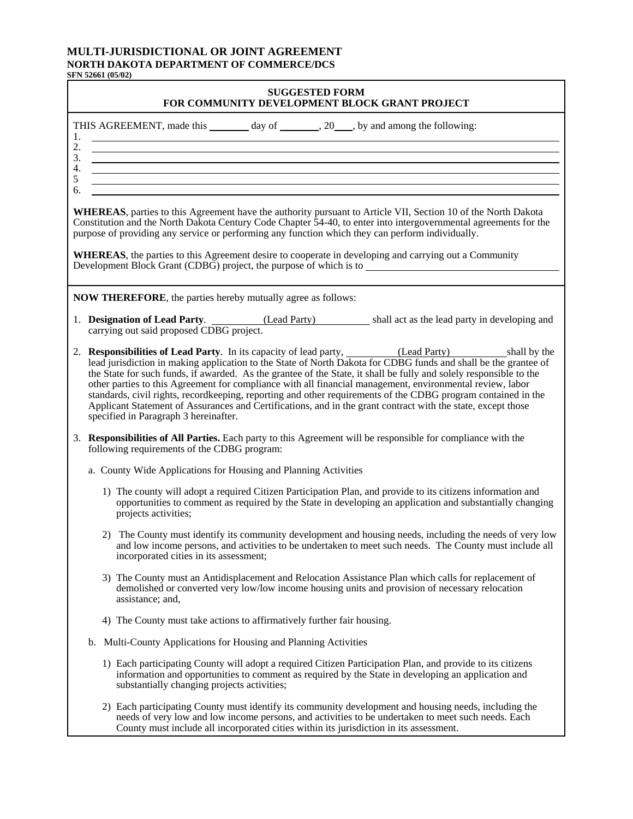## **MULTI-JURISDICTIONAL OR JOINT AGREEMENT NORTH DAKOTA DEPARTMENT OF COMMERCE/DCS**

**SFN 52661 (05/02)**

| <b>SUGGESTED FORM</b><br>FOR COMMUNITY DEVELOPMENT BLOCK GRANT PROJECT                                                                                                                                                                                                                                                                                                                                                                                                                                                                                                                                                                                                                                                      |  |
|-----------------------------------------------------------------------------------------------------------------------------------------------------------------------------------------------------------------------------------------------------------------------------------------------------------------------------------------------------------------------------------------------------------------------------------------------------------------------------------------------------------------------------------------------------------------------------------------------------------------------------------------------------------------------------------------------------------------------------|--|
| THIS AGREEMENT, made this ________ day of _______, 20___, by and among the following:<br>1.<br>2.<br>$\frac{1}{2}$<br>4.<br><u> 1999 - Johann Harry Harry Harry Harry Harry Harry Harry Harry Harry Harry Harry Harry Harry Harry Harry Harry Harry Harry Harry Harry Harry Harry Harry Harry Harry Harry Harry Harry Harry Harry Harry Harry Harry Harry Ha</u><br>$\mathfrak{S}$                                                                                                                                                                                                                                                                                                                                          |  |
| <u> 1989 - Johann Stoff, amerikansk politiker (d. 1989)</u><br>6.                                                                                                                                                                                                                                                                                                                                                                                                                                                                                                                                                                                                                                                           |  |
| <b>WHEREAS</b> , parties to this Agreement have the authority pursuant to Article VII, Section 10 of the North Dakota<br>Constitution and the North Dakota Century Code Chapter 54-40, to enter into intergovernmental agreements for the<br>purpose of providing any service or performing any function which they can perform individually.                                                                                                                                                                                                                                                                                                                                                                               |  |
| <b>WHEREAS</b> , the parties to this Agreement desire to cooperate in developing and carrying out a Community<br>Development Block Grant (CDBG) project, the purpose of which is to                                                                                                                                                                                                                                                                                                                                                                                                                                                                                                                                         |  |
| <b>NOW THEREFORE</b> , the parties hereby mutually agree as follows:                                                                                                                                                                                                                                                                                                                                                                                                                                                                                                                                                                                                                                                        |  |
| 1. <b>Designation of Lead Party.</b> (Lead Party) shall act as the lead party in developing and carrying out said proposed CDBG project.                                                                                                                                                                                                                                                                                                                                                                                                                                                                                                                                                                                    |  |
| 2. Responsibilities of Lead Party. In its capacity of lead party, (Lead Party) shall by the<br>lead jurisdiction in making application to the State of North Dakota for CDBG funds and shall be the grantee of<br>the State for such funds, if awarded. As the grantee of the State, it shall be fully and solely responsible to the<br>other parties to this Agreement for compliance with all financial management, environmental review, labor<br>standards, civil rights, recordkeeping, reporting and other requirements of the CDBG program contained in the<br>Applicant Statement of Assurances and Certifications, and in the grant contract with the state, except those<br>specified in Paragraph 3 hereinafter. |  |
| 3. Responsibilities of All Parties. Each party to this Agreement will be responsible for compliance with the<br>following requirements of the CDBG program:                                                                                                                                                                                                                                                                                                                                                                                                                                                                                                                                                                 |  |
| a. County Wide Applications for Housing and Planning Activities                                                                                                                                                                                                                                                                                                                                                                                                                                                                                                                                                                                                                                                             |  |
| 1) The county will adopt a required Citizen Participation Plan, and provide to its citizens information and<br>opportunities to comment as required by the State in developing an application and substantially changing<br>projects activities;                                                                                                                                                                                                                                                                                                                                                                                                                                                                            |  |
| 2) The County must identify its community development and housing needs, including the needs of very low<br>and low income persons, and activities to be undertaken to meet such needs. The County must include all<br>incorporated cities in its assessment;                                                                                                                                                                                                                                                                                                                                                                                                                                                               |  |
| 3) The County must an Antidisplacement and Relocation Assistance Plan which calls for replacement of<br>demolished or converted very low/low income housing units and provision of necessary relocation<br>assistance; and,                                                                                                                                                                                                                                                                                                                                                                                                                                                                                                 |  |
| 4) The County must take actions to affirmatively further fair housing.                                                                                                                                                                                                                                                                                                                                                                                                                                                                                                                                                                                                                                                      |  |
| b. Multi-County Applications for Housing and Planning Activities                                                                                                                                                                                                                                                                                                                                                                                                                                                                                                                                                                                                                                                            |  |
| 1) Each participating County will adopt a required Citizen Participation Plan, and provide to its citizens<br>information and opportunities to comment as required by the State in developing an application and<br>substantially changing projects activities;                                                                                                                                                                                                                                                                                                                                                                                                                                                             |  |
| 2) Each participating County must identify its community development and housing needs, including the<br>needs of very low and low income persons, and activities to be undertaken to meet such needs. Each<br>County must include all incorporated cities within its jurisdiction in its assessment.                                                                                                                                                                                                                                                                                                                                                                                                                       |  |